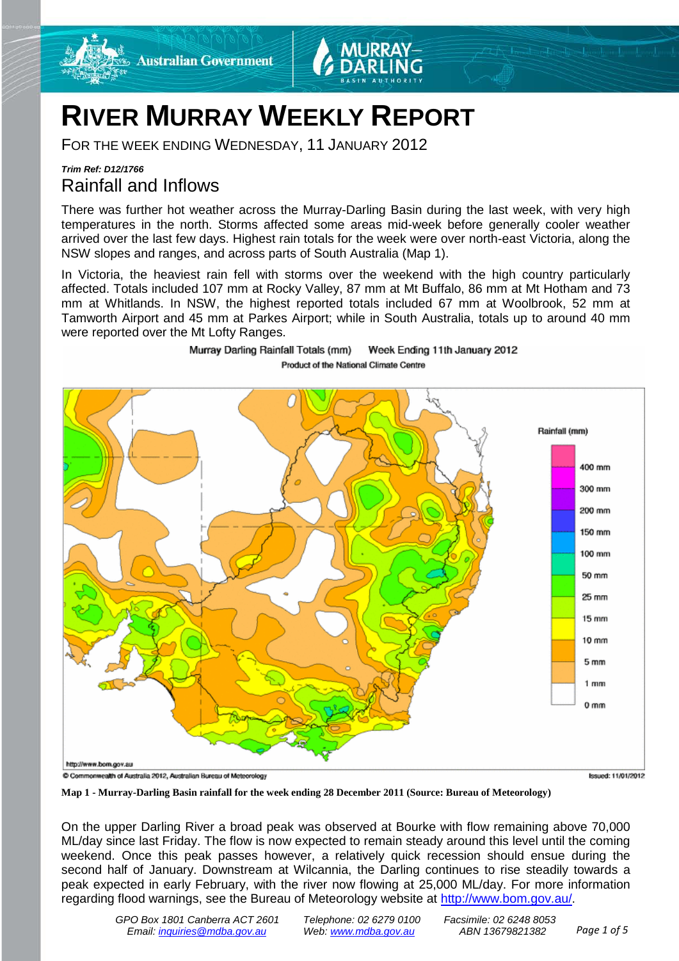

# **RIVER MURRAY WEEKLY REPORT**

Murray Darling Rainfall Totals (mm)

FOR THE WEEK ENDING WEDNESDAY, 11 JANUARY 2012

# *Trim Ref: D12/1766* Rainfall and Inflows

There was further hot weather across the Murray-Darling Basin during the last week, with very high temperatures in the north. Storms affected some areas mid-week before generally cooler weather arrived over the last few days. Highest rain totals for the week were over north-east Victoria, along the NSW slopes and ranges, and across parts of South Australia (Map 1).

In Victoria, the heaviest rain fell with storms over the weekend with the high country particularly affected. Totals included 107 mm at Rocky Valley, 87 mm at Mt Buffalo, 86 mm at Mt Hotham and 73 mm at Whitlands. In NSW, the highest reported totals included 67 mm at Woolbrook, 52 mm at Tamworth Airport and 45 mm at Parkes Airport; while in South Australia, totals up to around 40 mm were reported over the Mt Lofty Ranges.

Week Ending 11th January 2012



**Map 1 - Murray-Darling Basin rainfall for the week ending 28 December 2011 (Source: Bureau of Meteorology)**

On the upper Darling River a broad peak was observed at Bourke with flow remaining above 70,000 ML/day since last Friday. The flow is now expected to remain steady around this level until the coming weekend. Once this peak passes however, a relatively quick recession should ensue during the second half of January. Downstream at Wilcannia, the Darling continues to rise steadily towards a peak expected in early February, with the river now flowing at 25,000 ML/day. For more information regarding flood warnings, see the Bureau of Meteorology website at [http://www.bom.gov.au/.](http://www.bom.gov.au/)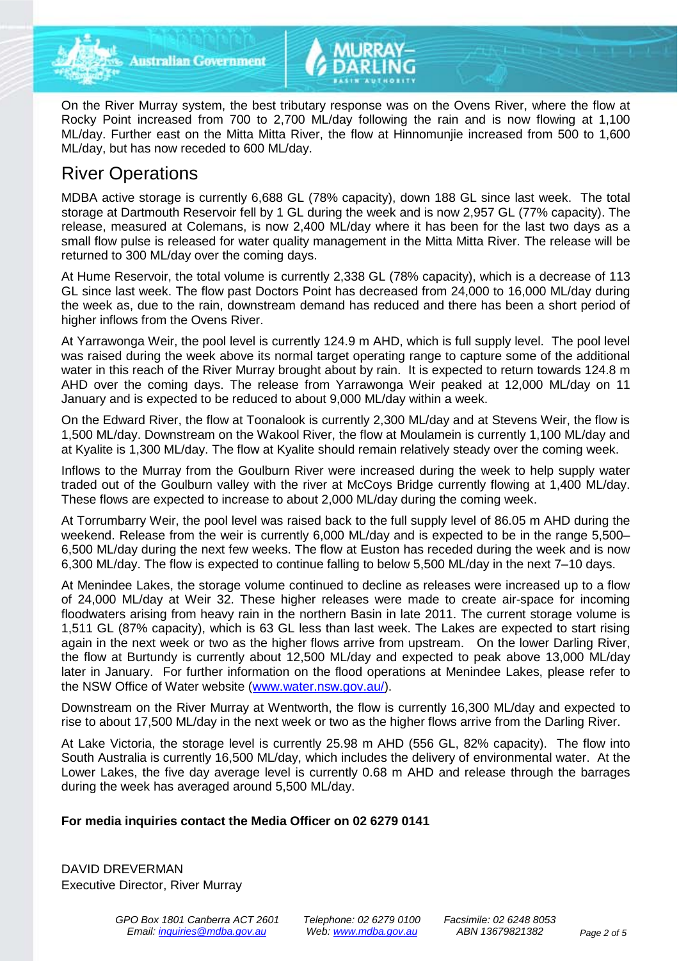

**Australian Government** 

On the River Murray system, the best tributary response was on the Ovens River, where the flow at Rocky Point increased from 700 to 2,700 ML/day following the rain and is now flowing at 1,100 ML/day. Further east on the Mitta Mitta River, the flow at Hinnomunjie increased from 500 to 1,600 ML/day, but has now receded to 600 ML/day.

# River Operations

MDBA active storage is currently 6,688 GL (78% capacity), down 188 GL since last week. The total storage at Dartmouth Reservoir fell by 1 GL during the week and is now 2,957 GL (77% capacity). The release, measured at Colemans, is now 2,400 ML/day where it has been for the last two days as a small flow pulse is released for water quality management in the Mitta Mitta River. The release will be returned to 300 ML/day over the coming days.

At Hume Reservoir, the total volume is currently 2,338 GL (78% capacity), which is a decrease of 113 GL since last week. The flow past Doctors Point has decreased from 24,000 to 16,000 ML/day during the week as, due to the rain, downstream demand has reduced and there has been a short period of higher inflows from the Ovens River.

At Yarrawonga Weir, the pool level is currently 124.9 m AHD, which is full supply level. The pool level was raised during the week above its normal target operating range to capture some of the additional water in this reach of the River Murray brought about by rain. It is expected to return towards 124.8 m AHD over the coming days. The release from Yarrawonga Weir peaked at 12,000 ML/day on 11 January and is expected to be reduced to about 9,000 ML/day within a week.

On the Edward River, the flow at Toonalook is currently 2,300 ML/day and at Stevens Weir, the flow is 1,500 ML/day. Downstream on the Wakool River, the flow at Moulamein is currently 1,100 ML/day and at Kyalite is 1,300 ML/day. The flow at Kyalite should remain relatively steady over the coming week.

Inflows to the Murray from the Goulburn River were increased during the week to help supply water traded out of the Goulburn valley with the river at McCoys Bridge currently flowing at 1,400 ML/day. These flows are expected to increase to about 2,000 ML/day during the coming week.

At Torrumbarry Weir, the pool level was raised back to the full supply level of 86.05 m AHD during the weekend. Release from the weir is currently 6,000 ML/day and is expected to be in the range 5,500– 6,500 ML/day during the next few weeks. The flow at Euston has receded during the week and is now 6,300 ML/day. The flow is expected to continue falling to below 5,500 ML/day in the next 7–10 days.

At Menindee Lakes, the storage volume continued to decline as releases were increased up to a flow of 24,000 ML/day at Weir 32. These higher releases were made to create air-space for incoming floodwaters arising from heavy rain in the northern Basin in late 2011. The current storage volume is 1,511 GL (87% capacity), which is 63 GL less than last week. The Lakes are expected to start rising again in the next week or two as the higher flows arrive from upstream. On the lower Darling River, the flow at Burtundy is currently about 12,500 ML/day and expected to peak above 13,000 ML/day later in January. For further information on the flood operations at Menindee Lakes, please refer to the NSW Office of Water website [\(www.water.nsw.gov.au/\)](http://www.water.nsw.gov.au/).

Downstream on the River Murray at Wentworth, the flow is currently 16,300 ML/day and expected to rise to about 17,500 ML/day in the next week or two as the higher flows arrive from the Darling River.

At Lake Victoria, the storage level is currently 25.98 m AHD (556 GL, 82% capacity). The flow into South Australia is currently 16,500 ML/day, which includes the delivery of environmental water. At the Lower Lakes, the five day average level is currently 0.68 m AHD and release through the barrages during the week has averaged around 5,500 ML/day.

# **For media inquiries contact the Media Officer on 02 6279 0141**

DAVID DREVERMAN Executive Director, River Murray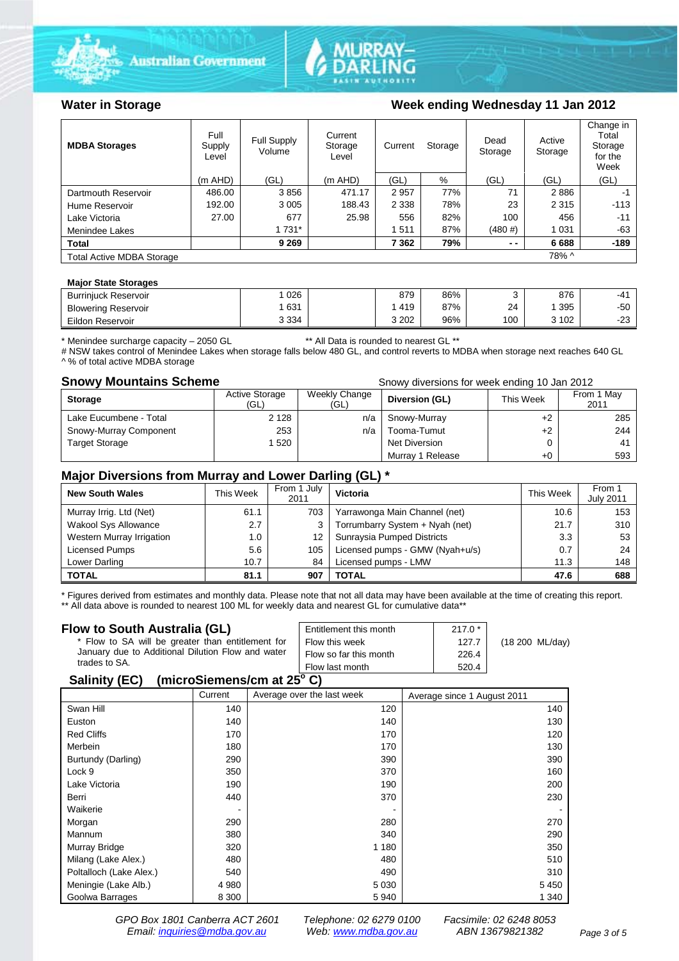





## Water in Storage Week ending Wednesday 11 Jan 2012

| <b>MDBA Storages</b>             | Full<br>Supply<br>Level | Full Supply<br>Volume | Current<br>Storage<br>Level | Current | Storage | Dead<br>Storage | Active<br>Storage | Change in<br>Total<br>Storage<br>for the<br>Week |
|----------------------------------|-------------------------|-----------------------|-----------------------------|---------|---------|-----------------|-------------------|--------------------------------------------------|
|                                  | $(m$ AHD)               | (GL)                  | $(m$ AHD)                   | (GL)    | %       | (GL)            | (GL)              | (GL)                                             |
| Dartmouth Reservoir              | 486.00                  | 3856                  | 471.17                      | 2957    | 77%     | 71              | 2886              | -1                                               |
| Hume Reservoir                   | 192.00                  | 3 0 0 5               | 188.43                      | 2 3 3 8 | 78%     | 23              | 2 3 1 5           | $-113$                                           |
| Lake Victoria                    | 27.00                   | 677                   | 25.98                       | 556     | 82%     | 100             | 456               | $-11$                                            |
| Menindee Lakes                   |                         | 1 7 3 1 *             |                             | 1511    | 87%     | (480#)          | 1 0 3 1           | $-63$                                            |
| <b>Total</b>                     |                         | 9 2 6 9               |                             | 7 3 6 2 | 79%     | $ -$            | 6688              | $-189$                                           |
| <b>Total Active MDBA Storage</b> |                         |                       |                             |         |         |                 | 78% ^             |                                                  |

#### **Major State Storages**

| <b>Burrinjuck Reservoir</b> | 026     | 879     | 86% |     | 876   | -41       |
|-----------------------------|---------|---------|-----|-----|-------|-----------|
| <b>Blowering Reservoir</b>  | 631     | 419     | 87% | 24  | 395   | -50       |
| Eildon Reservoir            | 3 3 3 4 | 3 2 0 2 | 96% | 100 | 3 102 | nn<br>د∠- |

\* Menindee surcharge capacity – 2050 GL \*\* All Data is rounded to nearest GL \*\*

# NSW takes control of Menindee Lakes when storage falls below 480 GL, and control reverts to MDBA when storage next reaches 640 GL ^ % of total active MDBA storage

**Snowy Mountains Scheme Snowy diversions for week ending 10 Jan 2012** 

| <b>Storage</b>         | <b>Active Storage</b><br>(GL) | Weekly Change<br>(GL) | Diversion (GL)   | This Week | From 1 May<br>2011 |
|------------------------|-------------------------------|-----------------------|------------------|-----------|--------------------|
| Lake Eucumbene - Total | 2 1 2 8                       | n/a                   | Snowy-Murray     | +2        | 285                |
| Snowy-Murray Component | 253                           | n/a                   | Tooma-Tumut      | $+2$      | 244                |
| <b>Target Storage</b>  | 1520                          |                       | Net Diversion    |           | 41                 |
|                        |                               |                       | Murray 1 Release | $+0$      | 593                |

### **Major Diversions from Murray and Lower Darling (GL) \***

| <b>New South Wales</b>    | This Week | From 1 July<br>2011 | Victoria                        | This Week | From 1<br><b>July 2011</b> |
|---------------------------|-----------|---------------------|---------------------------------|-----------|----------------------------|
| Murray Irrig. Ltd (Net)   | 61.1      | 703                 | Yarrawonga Main Channel (net)   | 10.6      | 153                        |
| Wakool Sys Allowance      | 2.7       | 3                   | Torrumbarry System + Nyah (net) | 21.7      | 310                        |
| Western Murray Irrigation | 1.0       | 12                  | Sunraysia Pumped Districts      | 3.3       | 53                         |
| Licensed Pumps            | 5.6       | 105                 | Licensed pumps - GMW (Nyah+u/s) | 0.7       | 24                         |
| Lower Darling             | 10.7      | 84                  | Licensed pumps - LMW            | 11.3      | 148                        |
| <b>TOTAL</b>              | 81.1      | 907                 | TOTAL                           | 47.6      | 688                        |

\* Figures derived from estimates and monthly data. Please note that not all data may have been available at the time of creating this report. \*\* All data above is rounded to nearest 100 ML for weekly data and nearest GL for cumulative data\*\*

#### **Flow to South Australia (GL)**

| Flow to South Australia (GL)<br>* Flow to SA will be greater than entitlement for<br>January due to Additional Dilution Flow and water | Entitlement this month<br>Flow this week<br>Flow so far this month | $217.0*$<br>127.7<br>226.4 | (18 200 ML/day) |
|----------------------------------------------------------------------------------------------------------------------------------------|--------------------------------------------------------------------|----------------------------|-----------------|
| trades to SA.                                                                                                                          | Flow last month                                                    | 520.4                      |                 |
| 0.11100                                                                                                                                |                                                                    |                            |                 |

#### **Salinity (EC) (microSiemens/cm at 25o C)**

|                         | Current | Average over the last week | Average since 1 August 2011 |
|-------------------------|---------|----------------------------|-----------------------------|
| Swan Hill               | 140     | 120                        | 140                         |
| Euston                  | 140     | 140                        | 130                         |
| <b>Red Cliffs</b>       | 170     | 170                        | 120                         |
| Merbein                 | 180     | 170                        | 130                         |
| Burtundy (Darling)      | 290     | 390                        | 390                         |
| Lock 9                  | 350     | 370                        | 160                         |
| Lake Victoria           | 190     | 190                        | 200                         |
| Berri                   | 440     | 370                        | 230                         |
| Waikerie                | ۰       |                            |                             |
| Morgan                  | 290     | 280                        | 270                         |
| Mannum                  | 380     | 340                        | 290                         |
| Murray Bridge           | 320     | 1 1 8 0                    | 350                         |
| Milang (Lake Alex.)     | 480     | 480                        | 510                         |
| Poltalloch (Lake Alex.) | 540     | 490                        | 310                         |
| Meningie (Lake Alb.)    | 4 9 8 0 | 5 0 3 0                    | 5450                        |
| Goolwa Barrages         | 8 3 0 0 | 5940                       | 1 340                       |

*GPO Box 1801 Canberra ACT 2601 Telephone: 02 6279 0100 Facsimile: 02 6248 8053 Email: [inquiries@mdba.gov.au](mailto:inquiries@mdba.gov.au) Web: [www.mdba.gov.au](http://www.mdba.gov.au/) ABN 13679821382 Page 3 of 5*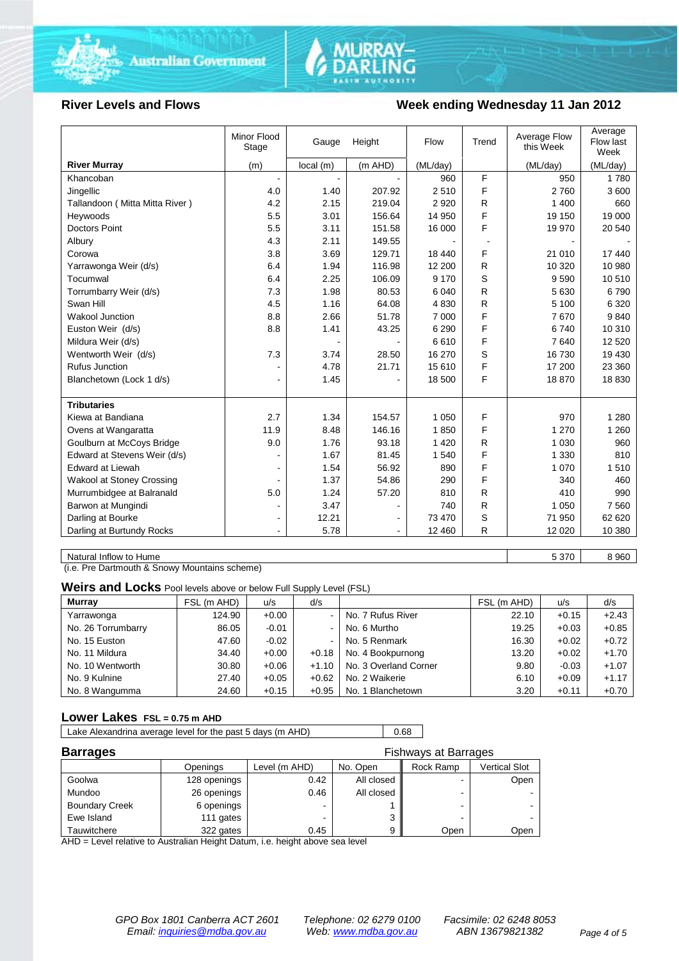



### **River Levels and Flows Week ending Wednesday 11 Jan 2012**

|                                                                         | (ML/day) |          |
|-------------------------------------------------------------------------|----------|----------|
| <b>River Murray</b><br>(m)<br>local(m)<br>(m AHD)<br>(ML/day)           |          | (ML/day) |
| F<br>Khancoban<br>960<br>÷.                                             | 950      | 1780     |
| F<br>4.0<br>1.40<br>207.92<br>2510<br>Jingellic                         | 2760     | 3600     |
| R<br>Tallandoon (Mitta Mitta River)<br>4.2<br>2.15<br>219.04<br>2 9 2 0 | 1 400    | 660      |
| F<br>5.5<br>3.01<br>156.64<br>14 950<br>Heywoods                        | 19 150   | 19 000   |
| F<br>5.5<br>3.11<br>151.58<br>16 000<br><b>Doctors Point</b>            | 19 970   | 20 540   |
| 4.3<br>149.55<br>2.11<br>Albury                                         |          |          |
| F<br>3.69<br>129.71<br>Corowa<br>3.8<br>18 440                          | 21 010   | 17 440   |
| 1.94<br>116.98<br>R<br>Yarrawonga Weir (d/s)<br>6.4<br>12 200           | 10 320   | 10 980   |
| S<br>Tocumwal<br>6.4<br>2.25<br>106.09<br>9 1 7 0                       | 9590     | 10510    |
| R<br>Torrumbarry Weir (d/s)<br>7.3<br>1.98<br>80.53<br>6 0 4 0          | 5 6 30   | 6790     |
| 4.5<br>1.16<br>R<br>Swan Hill<br>64.08<br>4830                          | 5 100    | 6 3 2 0  |
| F<br><b>Wakool Junction</b><br>8.8<br>2.66<br>51.78<br>7 0 0 0          | 7670     | 9840     |
| F<br>Euston Weir (d/s)<br>8.8<br>1.41<br>43.25<br>6 2 9 0               | 6740     | 10 310   |
| F<br>Mildura Weir (d/s)<br>6610<br>$\overline{a}$                       | 7640     | 12 5 20  |
| S<br>7.3<br>Wentworth Weir (d/s)<br>3.74<br>28.50<br>16 270             | 16 730   | 19 430   |
| F<br><b>Rufus Junction</b><br>4.78<br>21.71<br>15 610                   | 17 200   | 23 360   |
| F<br>Blanchetown (Lock 1 d/s)<br>1.45<br>18 500<br>$\blacksquare$       | 18 870   | 18 8 30  |
|                                                                         |          |          |
| <b>Tributaries</b>                                                      |          |          |
| 2.7<br>F<br>Kiewa at Bandiana<br>1.34<br>154.57<br>1 0 5 0              | 970      | 1 2 8 0  |
| F<br>8.48<br>146.16<br>1850<br>Ovens at Wangaratta<br>11.9              | 1 270    | 1 2 6 0  |
| 93.18<br>R<br>Goulburn at McCoys Bridge<br>9.0<br>1.76<br>1 4 2 0       | 1 0 3 0  | 960      |
| F<br>Edward at Stevens Weir (d/s)<br>1.67<br>81.45<br>1 540             | 1 3 3 0  | 810      |
| F<br>Edward at Liewah<br>56.92<br>890<br>1.54                           | 1 0 7 0  | 1510     |
| F<br><b>Wakool at Stoney Crossing</b><br>1.37<br>54.86<br>290           | 340      | 460      |
| Murrumbidgee at Balranald<br>5.0<br>1.24<br>57.20<br>810<br>R           | 410      | 990      |
| R<br>Barwon at Mungindi<br>3.47<br>740                                  | 1 0 5 0  | 7 5 6 0  |
| S<br>Darling at Bourke<br>12.21<br>73 470<br>۰                          | 71 950   | 62 620   |
| R<br>Darling at Burtundy Rocks<br>5.78<br>12 460                        | 12 0 20  | 10 380   |

Natural Inflow to Hume 6 8 960

(i.e. Pre Dartmouth & Snowy Mountains scheme)

**Weirs and Locks** Pool levels above or below Full Supply Level (FSL)

| <b>Murray</b>      | FSL (m AHD) | u/s     | d/s                      |                       | FSL (m AHD) | u/s     | d/s     |
|--------------------|-------------|---------|--------------------------|-----------------------|-------------|---------|---------|
| Yarrawonga         | 124.90      | $+0.00$ | $\overline{\phantom{a}}$ | No. 7 Rufus River     | 22.10       | $+0.15$ | $+2.43$ |
| No. 26 Torrumbarry | 86.05       | $-0.01$ | $\blacksquare$           | No. 6 Murtho          | 19.25       | $+0.03$ | $+0.85$ |
| No. 15 Euston      | 47.60       | $-0.02$ | $\sim$                   | No. 5 Renmark         | 16.30       | $+0.02$ | $+0.72$ |
| No. 11 Mildura     | 34.40       | $+0.00$ | $+0.18$                  | No. 4 Bookpurnong     | 13.20       | $+0.02$ | $+1.70$ |
| No. 10 Wentworth   | 30.80       | $+0.06$ | $+1.10$                  | No. 3 Overland Corner | 9.80        | $-0.03$ | $+1.07$ |
| No. 9 Kulnine      | 27.40       | $+0.05$ | $+0.62$                  | No. 2 Waikerie        | 6.10        | $+0.09$ | $+1.17$ |
| No. 8 Wangumma     | 24.60       | $+0.15$ | $+0.95$                  | No. 1 Blanchetown     | 3.20        | $+0.11$ | $+0.70$ |

### **Lower Lakes FSL = 0.75 m AHD**

Lake Alexandrina average level for the past 5 days (m AHD) 0.68

| <b>Barrages</b><br><b>Fishways at Barrages</b> |              |               |            |                |                      |
|------------------------------------------------|--------------|---------------|------------|----------------|----------------------|
|                                                | Openings     | Level (m AHD) | No. Open   | Rock Ramp      | <b>Vertical Slot</b> |
| Goolwa                                         | 128 openings | 0.42          | All closed |                | Open                 |
| Mundoo                                         | 26 openings  | 0.46          | All closed |                |                      |
| <b>Boundary Creek</b>                          | 6 openings   | -             |            | $\blacksquare$ |                      |
| Ewe Island                                     | 111 gates    |               | ◠<br>a     | -              |                      |
| Tauwitchere                                    | 322 gates    | 0.45          | 9          | Open           | Open                 |

AHD = Level relative to Australian Height Datum, i.e. height above sea level